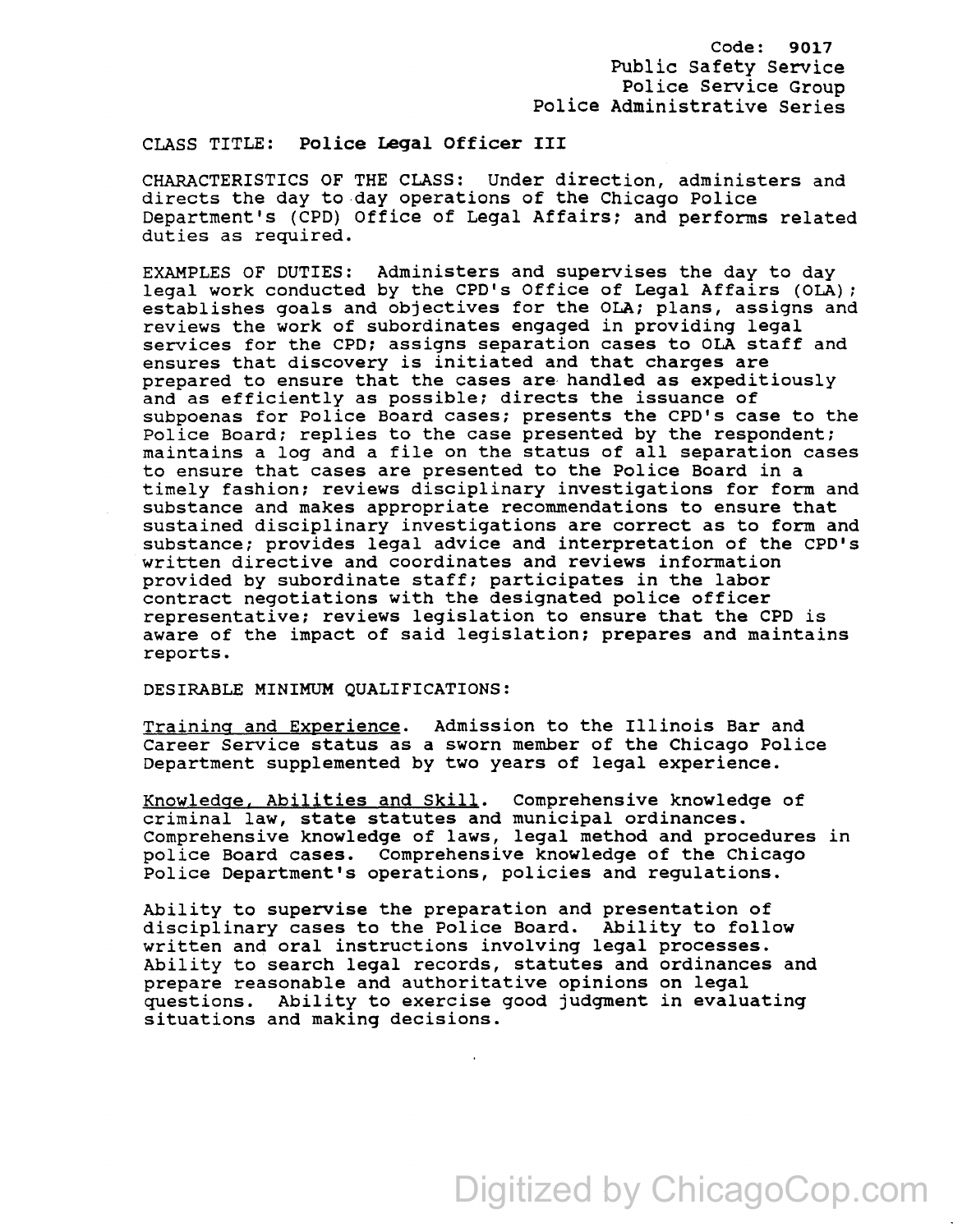## CLASS TITLE: Police Legal Officer III

CHARACTERISTICS OF THE CLASS: Under direction, administers and directs the day to.day operations of the Chicago Police Department's (CPD) Office of Legal Affairs; and performs related duties as required.

EXAMPLES OF DUTIES: Administers and supervises the day to day legal work conducted by the CPD's Office of Legal Affairs (OLA); establishes goals and objectives for the OLA; plans, assigns and reviews the work of subordinates engaged in providing legal services for the CPD; assigns separation cases to OLA staff and ensures that discovery is initiated and that charges are prepared to ensure that the cases are· handled as expeditiously and as efficiently as possible; directs the issuance of subpoenas for Police Board cases; presents the CPD's case to the Police Board; replies to the case presented by the respondent; maintains a log and a file on the status of all separation cases to ensure that cases are presented to the Police Board in a timely fashion; reviews disciplinary investigations for form and substance and makes appropriate recommendations to ensure that sustained disciplinary investigations are correct as to form and substance; provides legal advice and interpretation of the CPD's written directive and coordinates and reviews information provided by subordinate staff; participates in the labor contract negotiations with the designated police officer representative; reviews legislation to ensure that the CPD is aware of the impact of said legislation: prepares and maintains reports.

## DESIRABLE MINIMUM QUALIFICATIONS:

Training and Experience. Admission to the Illinois Bar and Career Service status as a sworn member of the Chicago Police Department supplemented by two years of legal experience.

Knowledge, Abilities and Skill. Comprehensive knowledge of criminal law, state statutes and municipal ordinances. Comprehensive knowledge of laws, legal method and procedures in police Board cases. Comprehensive knowledge of the Chicago Police Department's operations, policies and regulations.

Ability to supervise the preparation and presentation of disciplinary cases to the Police Board. Ability to follow written and oral instructions involving legal processes. Ability to search legal records, statutes and ordinances and prepare reasonable and authoritative opinions on legal questions. Ability to exercise good judgment in evaluating situations and making decisions.